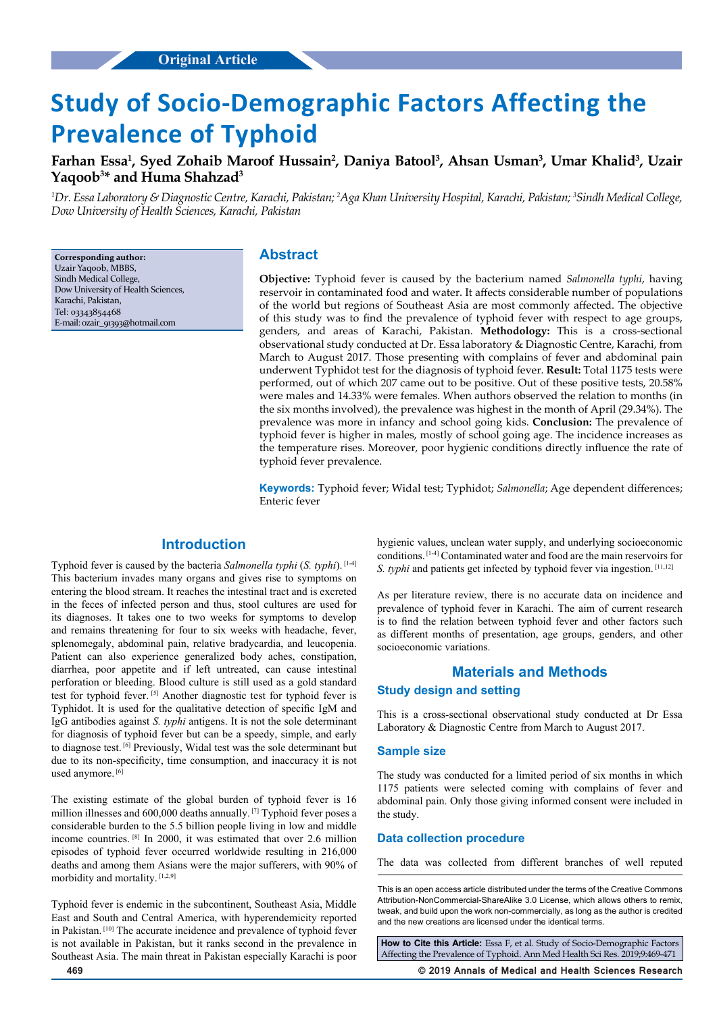# **Study of Socio-Demographic Factors Affecting the Prevalence of Typhoid**

**Farhan Essa1 , Syed Zohaib Maroof Hussain2 , Daniya Batool3 , Ahsan Usman3 , Umar Khalid3 , Uzair Yaqoob3 \* and Huma Shahzad3**

<sup>1</sup>Dr. Essa Laboratory & Diagnostic Centre, Karachi, Pakistan; <sup>2</sup>Aga Khan University Hospital, Karachi, Pakistan; <sup>3</sup>Sindh Medical College, *Dow University of Health Sciences, Karachi, Pakistan*

**Corresponding author:** Uzair Yaqoob, MBBS, Sindh Medical College, Dow University of Health Sciences, Karachi, Pakistan, Tel: 03343854468 E-mail: ozair\_91393@hotmail.com

# **Abstract**

**Objective:** Typhoid fever is caused by the bacterium named *Salmonella typhi*, having reservoir in contaminated food and water. It affects considerable number of populations of the world but regions of Southeast Asia are most commonly affected. The objective of this study was to find the prevalence of typhoid fever with respect to age groups, genders, and areas of Karachi, Pakistan. **Methodology:** This is a cross-sectional observational study conducted at Dr. Essa laboratory & Diagnostic Centre, Karachi, from March to August 2017. Those presenting with complains of fever and abdominal pain underwent Typhidot test for the diagnosis of typhoid fever. **Result:** Total 1175 tests were performed, out of which 207 came out to be positive. Out of these positive tests, 20.58% were males and 14.33% were females. When authors observed the relation to months (in the six months involved), the prevalence was highest in the month of April (29.34%). The prevalence was more in infancy and school going kids. **Conclusion:** The prevalence of typhoid fever is higher in males, mostly of school going age. The incidence increases as the temperature rises. Moreover, poor hygienic conditions directly influence the rate of typhoid fever prevalence.

**Keywords:** Typhoid fever; Widal test; Typhidot; *Salmonella*; Age dependent differences; Enteric fever

# **Introduction**

Typhoid fever is caused by the bacteria *Salmonella typhi* (*S. typhi*). [1-4] This bacterium invades many organs and gives rise to symptoms on entering the blood stream. It reaches the intestinal tract and is excreted in the feces of infected person and thus, stool cultures are used for its diagnoses. It takes one to two weeks for symptoms to develop and remains threatening for four to six weeks with headache, fever, splenomegaly, abdominal pain, relative bradycardia, and leucopenia. Patient can also experience generalized body aches, constipation, diarrhea, poor appetite and if left untreated, can cause intestinal perforation or bleeding. Blood culture is still used as a gold standard test for typhoid fever. [5] Another diagnostic test for typhoid fever is Typhidot. It is used for the qualitative detection of specific IgM and IgG antibodies against *S. typhi* antigens. It is not the sole determinant for diagnosis of typhoid fever but can be a speedy, simple, and early to diagnose test. [6] Previously, Widal test was the sole determinant but due to its non-specificity, time consumption, and inaccuracy it is not used anymore.<sup>[6]</sup>

The existing estimate of the global burden of typhoid fever is 16 million illnesses and 600,000 deaths annually. [7] Typhoid fever poses a considerable burden to the 5.5 billion people living in low and middle income countries. [8] In 2000, it was estimated that over 2.6 million episodes of typhoid fever occurred worldwide resulting in 216,000 deaths and among them Asians were the major sufferers, with 90% of morbidity and mortality. [1,2,9]

Typhoid fever is endemic in the subcontinent, Southeast Asia, Middle East and South and Central America, with hyperendemicity reported in Pakistan. [10] The accurate incidence and prevalence of typhoid fever is not available in Pakistan, but it ranks second in the prevalence in Southeast Asia. The main threat in Pakistan especially Karachi is poor hygienic values, unclean water supply, and underlying socioeconomic conditions. [1-4] Contaminated water and food are the main reservoirs for *S. typhi* and patients get infected by typhoid fever via ingestion. [11,12]

As per literature review, there is no accurate data on incidence and prevalence of typhoid fever in Karachi. The aim of current research is to find the relation between typhoid fever and other factors such as different months of presentation, age groups, genders, and other socioeconomic variations.

### **Materials and Methods**

# **Study design and setting**

This is a cross-sectional observational study conducted at Dr Essa Laboratory & Diagnostic Centre from March to August 2017.

#### **Sample size**

The study was conducted for a limited period of six months in which 1175 patients were selected coming with complains of fever and abdominal pain. Only those giving informed consent were included in the study.

#### **Data collection procedure**

The data was collected from different branches of well reputed

This is an open access article distributed under the terms of the Creative Commons Attribution-NonCommercial-ShareAlike 3.0 License, which allows others to remix, tweak, and build upon the work non‑commercially, as long as the author is credited and the new creations are licensed under the identical terms.

**How to Cite this Article:** Essa F, et al. Study of Socio-Demographic Factors Affecting the Prevalence of Typhoid. Ann Med Health Sci Res. 2019;9:469-471

**469 © 2019 Annals of Medical and Health Sciences Research**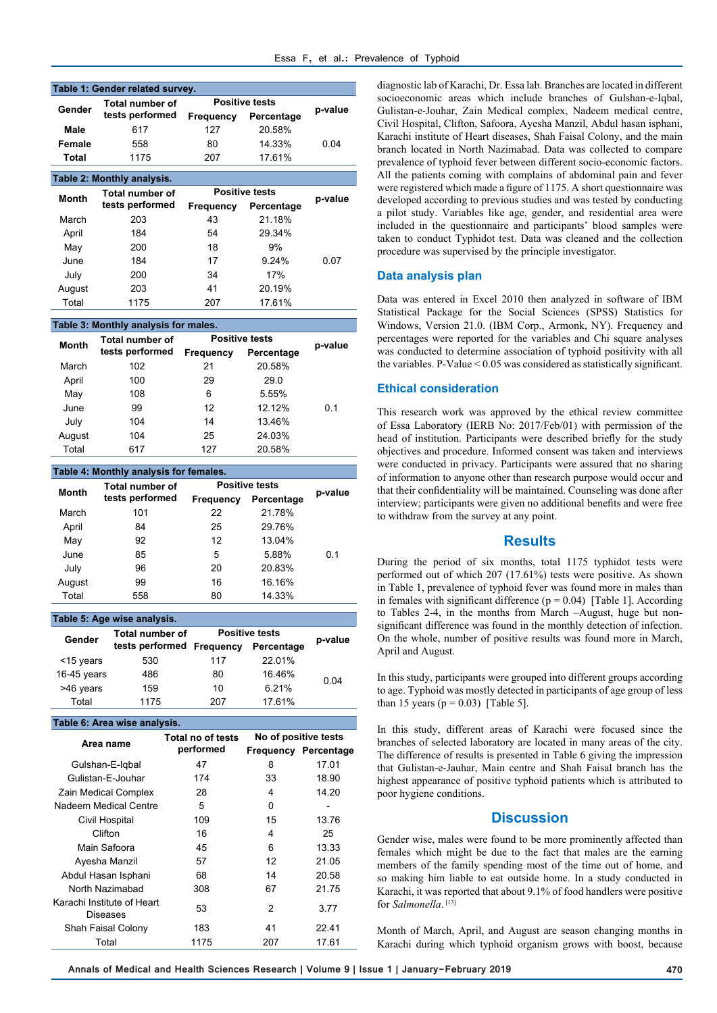|                     | Table 1: Gender related survey.    |                       |            |         |
|---------------------|------------------------------------|-----------------------|------------|---------|
| Gender              | Total number of<br>tests performed | <b>Positive tests</b> |            |         |
|                     |                                    | <b>Frequency</b>      | Percentage | p-value |
| Male                | 617                                | 127                   | 20.58%     |         |
| Female              | 558                                | 80                    | 14.33%     | 0.04    |
| Total               | 1175                               | 207                   | 17.61%     |         |
|                     | Table 2: Monthly analysis.         |                       |            |         |
| --<br>$\sim$ $\sim$ | <b>Total number of</b>             | <b>Positive tests</b> |            |         |

| Month  | <b>Total number of</b> | <b>Positive tests</b> |            | p-value |
|--------|------------------------|-----------------------|------------|---------|
|        | tests performed        | Frequency             | Percentage |         |
| March  | 203                    | 43                    | 21.18%     |         |
| April  | 184                    | 54                    | 29.34%     |         |
| May    | 200                    | 18                    | 9%         |         |
| June   | 184                    | 17                    | 9.24%      | 0.07    |
| July   | 200                    | 34                    | 17%        |         |
| August | 203                    | 41                    | 20.19%     |         |
| Total  | 1175                   | 207                   | 17.61%     |         |

#### **Table 3: Monthly analysis for males.**

| <b>Month</b> | <b>Total number of</b> | <b>Positive tests</b> |            | p-value |
|--------------|------------------------|-----------------------|------------|---------|
|              | tests performed        | <b>Frequency</b>      | Percentage |         |
| March        | 102                    | 21                    | 20.58%     |         |
| April        | 100                    | 29                    | 29.0       |         |
| May          | 108                    | 6                     | 5.55%      |         |
| June         | 99                     | 12                    | 12.12%     | 0.1     |
| July         | 104                    | 14                    | 13.46%     |         |
| August       | 104                    | 25                    | 24.03%     |         |
| Total        | 617                    | 127                   | 20.58%     |         |

#### **Table 4: Monthly analysis for females. Month Total number of tests performed Positive tests p-value Frequency Percentage** March 101 22 21.78% 0.1 April 84 25 29.76% May 92 12 13.04% June 85 5 5.88% July 96 20 20.83% August 99 16 16.16% Total 558 80 14.33%

# **Table 5: Age wise analysis.**

| Gender      | <b>Total number of</b> | <b>Positive tests</b> |            | p-value |
|-------------|------------------------|-----------------------|------------|---------|
|             | tests performed        | Frequency             | Percentage |         |
| <15 years   | 530                    | 117                   | 22.01%     |         |
| 16-45 years | 486                    | 80                    | 16.46%     | 0.04    |
| >46 years   | 159                    | 10                    | 6.21%      |         |
| Total       | 1175                   | 207                   | 17.61%     |         |

#### **Table 6: Area wise analysis.**

| Area name                              | Total no of tests<br>performed | No of positive tests<br><b>Frequency Percentage</b> |       |  |  |
|----------------------------------------|--------------------------------|-----------------------------------------------------|-------|--|--|
| Gulshan-E-Igbal                        | 47                             | 8                                                   | 17.01 |  |  |
| Gulistan-E-Jouhar                      | 174                            | 33                                                  | 18.90 |  |  |
| Zain Medical Complex                   | 28                             | 4                                                   | 14.20 |  |  |
| Nadeem Medical Centre                  | 5                              | 0                                                   |       |  |  |
| Civil Hospital                         | 109                            | 15                                                  | 13.76 |  |  |
| Clifton                                | 16                             | 4                                                   | 25    |  |  |
| Main Safoora                           | 45                             | 6                                                   | 13.33 |  |  |
| Ayesha Manzil                          | 57                             | 12                                                  | 21.05 |  |  |
| Abdul Hasan Isphani                    | 68                             | 14                                                  | 20.58 |  |  |
| North Nazimabad                        | 308                            | 67                                                  | 21.75 |  |  |
| Karachi Institute of Heart<br>Diseases | 53                             | 2                                                   | 3.77  |  |  |
| Shah Faisal Colony                     | 183                            | 41                                                  | 22.41 |  |  |
| Total                                  | 1175                           | 207                                                 | 17.61 |  |  |

diagnostic lab of Karachi, Dr. Essa lab. Branches are located in different socioeconomic areas which include branches of Gulshan-e-Iqbal, Gulistan-e-Jouhar, Zain Medical complex, Nadeem medical centre, Civil Hospital, Clifton, Safoora, Ayesha Manzil, Abdul hasan isphani, Karachi institute of Heart diseases, Shah Faisal Colony, and the main branch located in North Nazimabad. Data was collected to compare prevalence of typhoid fever between different socio-economic factors. All the patients coming with complains of abdominal pain and fever were registered which made a figure of 1175. A short questionnaire was developed according to previous studies and was tested by conducting a pilot study. Variables like age, gender, and residential area were included in the questionnaire and participants' blood samples were taken to conduct Typhidot test. Data was cleaned and the collection procedure was supervised by the principle investigator.

# **Data analysis plan**

Data was entered in Excel 2010 then analyzed in software of IBM Statistical Package for the Social Sciences (SPSS) Statistics for Windows, Version 21.0. (IBM Corp., Armonk, NY). Frequency and percentages were reported for the variables and Chi square analyses was conducted to determine association of typhoid positivity with all the variables. P-Value  $\leq 0.05$  was considered as statistically significant.

# **Ethical consideration**

This research work was approved by the ethical review committee of Essa Laboratory (IERB No: 2017/Feb/01) with permission of the head of institution. Participants were described briefly for the study objectives and procedure. Informed consent was taken and interviews were conducted in privacy. Participants were assured that no sharing of information to anyone other than research purpose would occur and that their confidentiality will be maintained. Counseling was done after interview; participants were given no additional benefits and were free to withdraw from the survey at any point.

#### **Results**

During the period of six months, total 1175 typhidot tests were performed out of which 207 (17.61%) tests were positive. As shown in Table 1, prevalence of typhoid fever was found more in males than in females with significant difference  $(p = 0.04)$  [Table 1]. According to Tables 2-4, in the months from March –August, huge but nonsignificant difference was found in the monthly detection of infection. On the whole, number of positive results was found more in March, April and August.

In this study, participants were grouped into different groups according to age. Typhoid was mostly detected in participants of age group of less than 15 years ( $p = 0.03$ ) [Table 5].

In this study, different areas of Karachi were focused since the branches of selected laboratory are located in many areas of the city. The difference of results is presented in Table 6 giving the impression that Gulistan-e-Jauhar, Main centre and Shah Faisal branch has the highest appearance of positive typhoid patients which is attributed to poor hygiene conditions.

# **Discussion**

Gender wise, males were found to be more prominently affected than females which might be due to the fact that males are the earning members of the family spending most of the time out of home, and so making him liable to eat outside home. In a study conducted in Karachi, it was reported that about 9.1% of food handlers were positive for *Salmonella*.<sup>[13]</sup>

Month of March, April, and August are season changing months in Karachi during which typhoid organism grows with boost, because